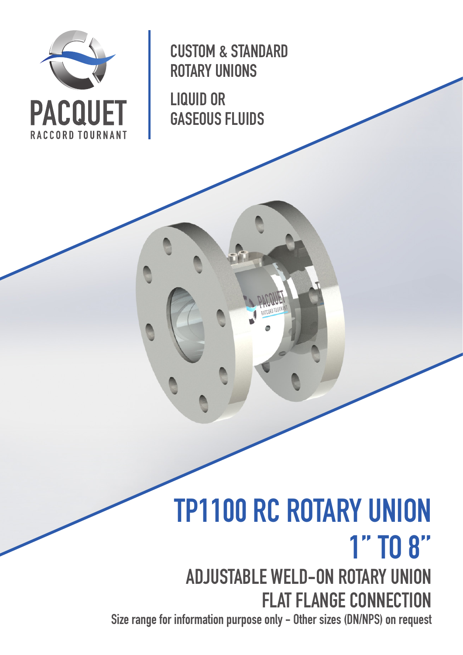

CUSTOM & STANDARD ROTARY UNIONS

LIQUID OR GASEOUS FLUIDS

# TP1100 RC ROTARY UNION 1'' TO 8''

ADJUSTABLE WELD-ON ROTARY UNION FLAT FLANGE CONNECTION

Size range for information purpose only - Other sizes (DN/NPS) on request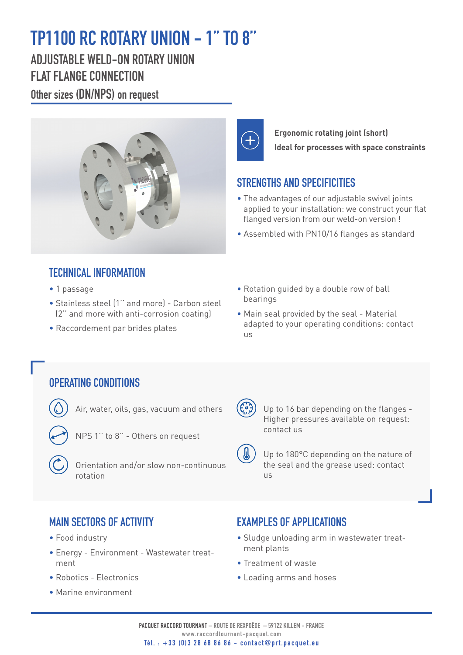# TP1100 RC ROTARY UNION - 1'' TO 8''

ADJUSTABLE WELD-ON ROTARY UNION FLAT FLANGE CONNECTION

Other sizes (DN/NPS) on request



**Ergonomic rotating joint (short) Ideal for processes with space constraints**

#### STRENGTHS AND SPECIFICITIES

- The advantages of our adjustable swivel joints applied to your installation: we construct your flat flanged version from our weld-on version !
- Assembled with PN10/16 flanges as standard

#### TECHNICAL INFORMATION

- 1 passage
- Stainless steel (1'' and more) Carbon steel (2'' and more with anti-corrosion coating)
- Raccordement par brides plates
- Rotation guided by a double row of ball bearings
- Main seal provided by the seal Material adapted to your operating conditions: contact us

#### OPERATING CONDITIONS

- Air, water, oils, gas, vacuum and others
	- NPS 1'' to 8'' Others on request
- Orientation and/or slow non-continuous rotation



 $\mathbf{a}$ 

 Up to 16 bar depending on the flanges - Higher pressures available on request: contact us

 Up to 180°C depending on the nature of the seal and the grease used: contact  $|I| \leq$ 

### MAIN SECTORS OF ACTIVITY

- Food industry
- Energy Environment Wastewater treatment
- Robotics Electronics
- Marine environment

#### **EXAMPLES OF APPLICATIONS**

- Sludge unloading arm in wastewater treatment plants
- Treatment of waste
- Loading arms and hoses